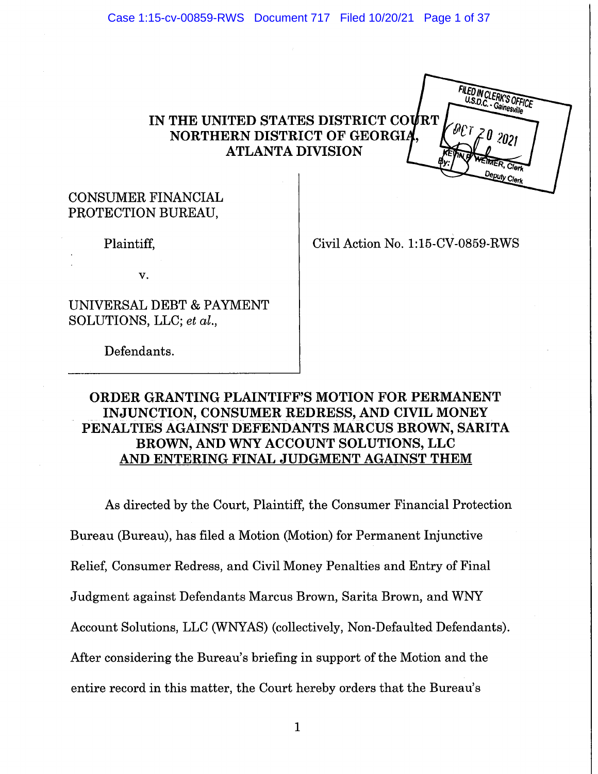Case 1:15-cv-00859-RWS Document 717 Filed 10/20/21 Page 1 of 37

# IN THE UNITED STATES DISTRICT COURT NORTHERN DISTRICT OF GEORGIA **ATLANTA DIVISION**



Plaintiff,

Civil Action No. 1:15-CV-0859-RWS

FILED IN CLERK'S OFFIC Gainesville

v.

UNIVERSAL DEBT & PAYMENT SOLUTIONS, LLC; et al.,

Defendants.

# ORDER GRANTING PLAINTIFF'S MOTION FOR PERMANENT INJUNCTION, CONSUMER REDRESS, AND CIVIL MONEY PENALTIES AGAINST DEFENDANTS MARCUS BROWN, SARITA BROWN, AND WNY ACCOUNT SOLUTIONS, LLC AND ENTERING FINAL JUDGMENT AGAINST THEM

As directed by the Court, Plaintiff, the Consumer Financial Protection Bureau (Bureau), has filed a Motion (Motion) for Permanent Injunctive Relief, Consumer Redress, and Civil Money Penalties and Entry of Final Judgment against Defendants Marcus Brown, Sarita Brown, and WNY Account Solutions, LLC (WNYAS) (collectively, Non-Defaulted Defendants). After considering the Bureau's briefing in support of the Motion and the entire record in this matter, the Court hereby orders that the Bureau's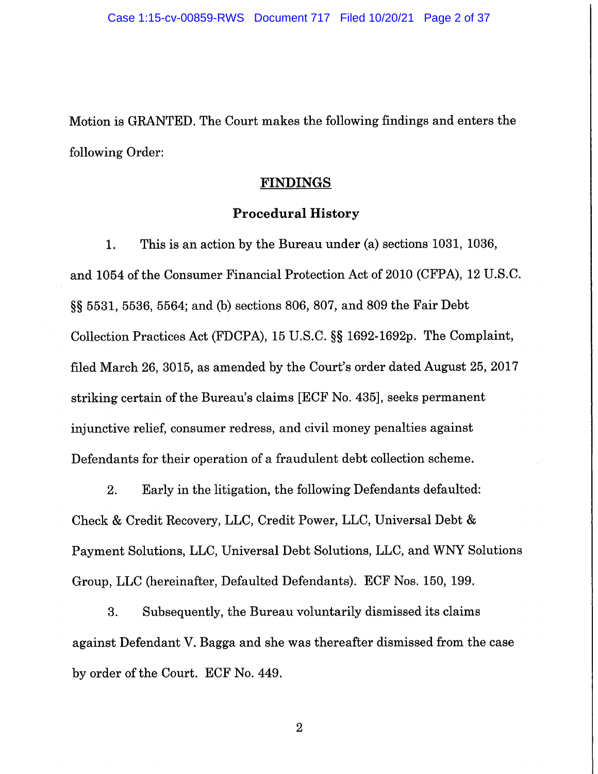Motion is GRANTED. The Court makes the following findings and enters the following Order:

## **FINDINGS**

## **Procedural History**

This is an action by the Bureau under (a) sections 1031, 1036, 1. and 1054 of the Consumer Financial Protection Act of 2010 (CFPA), 12 U.S.C. §§ 5531, 5536, 5564; and (b) sections 806, 807, and 809 the Fair Debt Collection Practices Act (FDCPA), 15 U.S.C. §§ 1692-1692p. The Complaint, filed March 26, 3015, as amended by the Court's order dated August 25, 2017 striking certain of the Bureau's claims [ECF No. 435], seeks permanent injunctive relief, consumer redress, and civil money penalties against Defendants for their operation of a fraudulent debt collection scheme.

2. Early in the litigation, the following Defendants defaulted: Check & Credit Recovery, LLC, Credit Power, LLC, Universal Debt & Payment Solutions, LLC, Universal Debt Solutions, LLC, and WNY Solutions Group, LLC (hereinafter, Defaulted Defendants). ECF Nos. 150, 199.

Subsequently, the Bureau voluntarily dismissed its claims 3. against Defendant V. Bagga and she was thereafter dismissed from the case by order of the Court. ECF No. 449.

 $\overline{2}$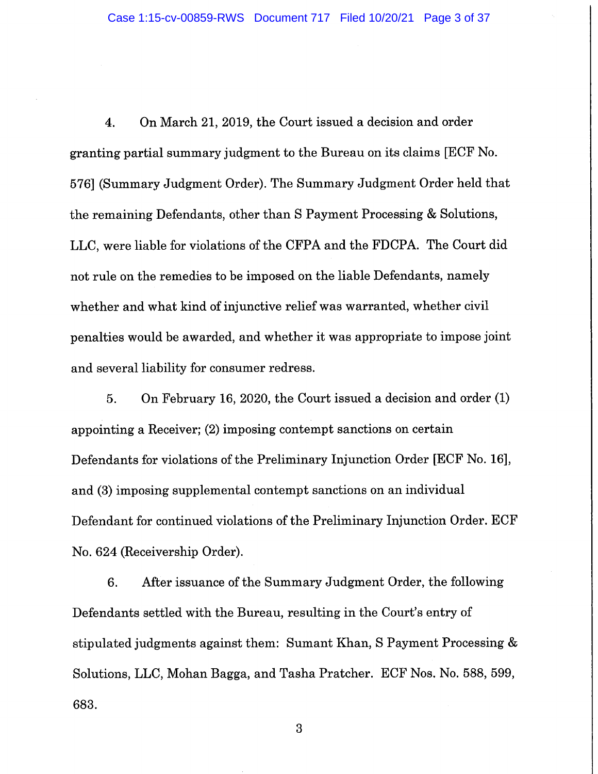On March 21, 2019, the Court issued a decision and order  $\overline{4}$ . granting partial summary judgment to the Bureau on its claims [ECF No. 576] (Summary Judgment Order). The Summary Judgment Order held that the remaining Defendants, other than S Payment Processing & Solutions, LLC, were liable for violations of the CFPA and the FDCPA. The Court did not rule on the remedies to be imposed on the liable Defendants, namely whether and what kind of injunctive relief was warranted, whether civil penalties would be awarded, and whether it was appropriate to impose joint and several liability for consumer redress.

On February 16, 2020, the Court issued a decision and order (1) 5. appointing a Receiver; (2) imposing contempt sanctions on certain Defendants for violations of the Preliminary Injunction Order [ECF No. 16], and (3) imposing supplemental contempt sanctions on an individual Defendant for continued violations of the Preliminary Injunction Order. ECF No. 624 (Receivership Order).

6. After issuance of the Summary Judgment Order, the following Defendants settled with the Bureau, resulting in the Court's entry of stipulated judgments against them: Sumant Khan, S Payment Processing & Solutions, LLC, Mohan Bagga, and Tasha Pratcher. ECF Nos. No. 588, 599, 683.

 $\overline{3}$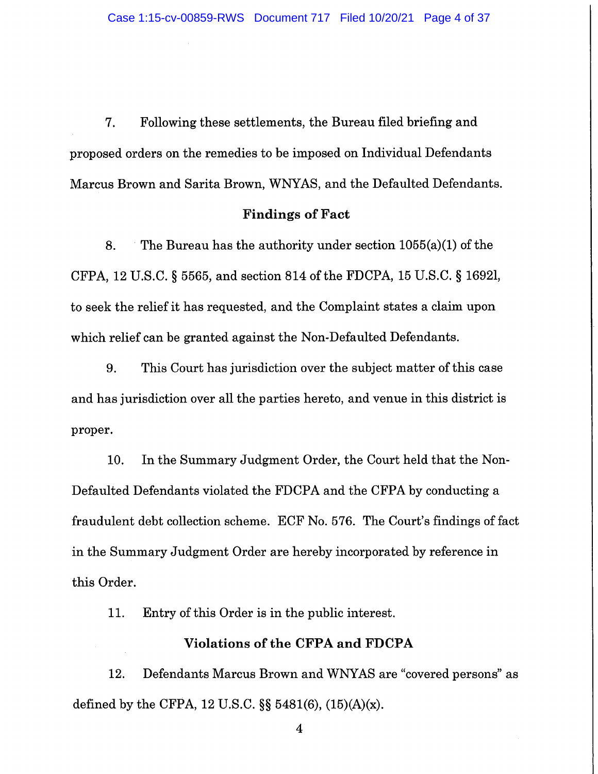Following these settlements, the Bureau filed briefing and  $7.$ proposed orders on the remedies to be imposed on Individual Defendants Marcus Brown and Sarita Brown, WNYAS, and the Defaulted Defendants.

#### **Findings of Fact**

8. The Bureau has the authority under section  $1055(a)(1)$  of the CFPA, 12 U.S.C. § 5565, and section 814 of the FDCPA, 15 U.S.C. § 1692l, to seek the relief it has requested, and the Complaint states a claim upon which relief can be granted against the Non-Defaulted Defendants.

9. This Court has jurisdiction over the subject matter of this case and has jurisdiction over all the parties hereto, and venue in this district is proper.

In the Summary Judgment Order, the Court held that the Non-10. Defaulted Defendants violated the FDCPA and the CFPA by conducting a fraudulent debt collection scheme. ECF No. 576. The Court's findings of fact in the Summary Judgment Order are hereby incorporated by reference in this Order.

11. Entry of this Order is in the public interest.

## Violations of the CFPA and FDCPA

Defendants Marcus Brown and WNYAS are "covered persons" as 12. defined by the CFPA, 12 U.S.C.  $\S$  5481(6), (15)(A)(x).

 $\overline{4}$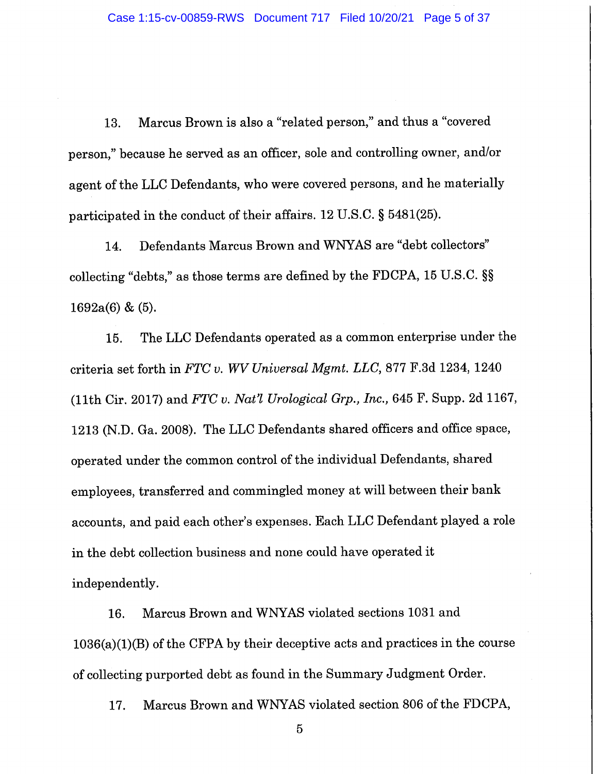Marcus Brown is also a "related person," and thus a "covered 13. person," because he served as an officer, sole and controlling owner, and/or agent of the LLC Defendants, who were covered persons, and he materially participated in the conduct of their affairs. 12 U.S.C. § 5481(25).

Defendants Marcus Brown and WNYAS are "debt collectors" 14. collecting "debts," as those terms are defined by the FDCPA, 15 U.S.C. §§  $1692a(6)$  & (5).

The LLC Defendants operated as a common enterprise under the 15. criteria set forth in FTC v. WV Universal Mgmt. LLC, 877 F.3d 1234, 1240 (11th Cir. 2017) and FTC v. Nat'l Urological Grp., Inc., 645 F. Supp. 2d 1167, 1213 (N.D. Ga. 2008). The LLC Defendants shared officers and office space, operated under the common control of the individual Defendants, shared employees, transferred and commingled money at will between their bank accounts, and paid each other's expenses. Each LLC Defendant played a role in the debt collection business and none could have operated it independently.

16. Marcus Brown and WNYAS violated sections 1031 and  $1036(a)(1)(B)$  of the CFPA by their deceptive acts and practices in the course of collecting purported debt as found in the Summary Judgment Order.

17. Marcus Brown and WNYAS violated section 806 of the FDCPA,

 $\overline{5}$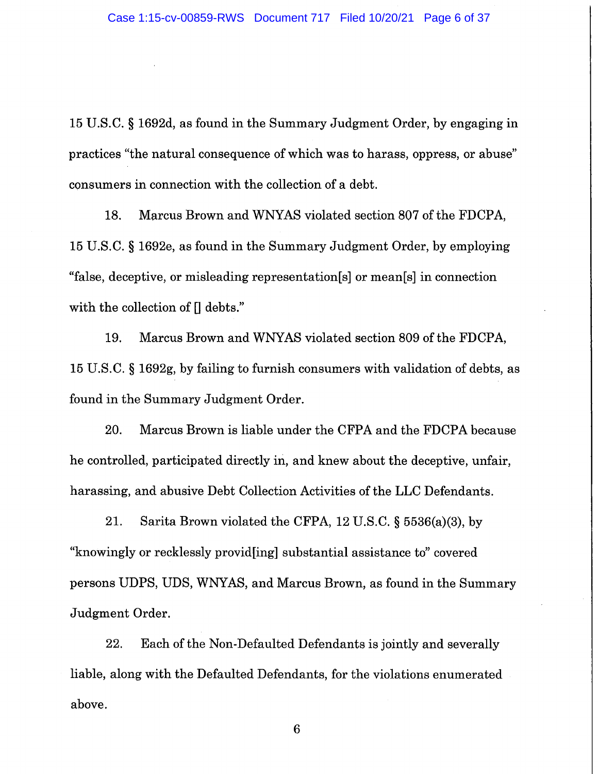15 U.S.C. § 1692d, as found in the Summary Judgment Order, by engaging in practices "the natural consequence of which was to harass, oppress, or abuse" consumers in connection with the collection of a debt.

18. Marcus Brown and WNYAS violated section 807 of the FDCPA, 15 U.S.C. § 1692e, as found in the Summary Judgment Order, by employing "false, deceptive, or misleading representation[s] or mean[s] in connection with the collection of  $\prod$  debts."

19. Marcus Brown and WNYAS violated section 809 of the FDCPA, 15 U.S.C. § 1692g, by failing to furnish consumers with validation of debts, as found in the Summary Judgment Order.

20. Marcus Brown is liable under the CFPA and the FDCPA because he controlled, participated directly in, and knew about the deceptive, unfair, harassing, and abusive Debt Collection Activities of the LLC Defendants.

21. Sarita Brown violated the CFPA, 12 U.S.C.  $\S$  5536(a)(3), by "knowingly or recklessly provid [ing] substantial assistance to" covered persons UDPS, UDS, WNYAS, and Marcus Brown, as found in the Summary Judgment Order.

22. Each of the Non-Defaulted Defendants is jointly and severally liable, along with the Defaulted Defendants, for the violations enumerated above.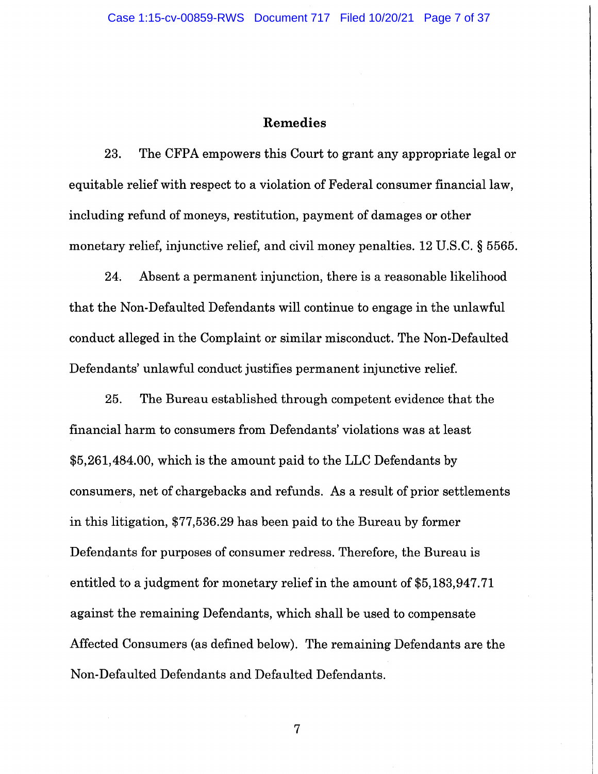### Remedies

23. The CFPA empowers this Court to grant any appropriate legal or equitable relief with respect to a violation of Federal consumer financial law, including refund of moneys, restitution, payment of damages or other monetary relief, injunctive relief, and civil money penalties. 12 U.S.C. § 5565.

24. Absent a permanent injunction, there is a reasonable likelihood that the Non-Defaulted Defendants will continue to engage in the unlawful conduct alleged in the Complaint or similar misconduct. The Non-Defaulted Defendants' unlawful conduct justifies permanent injunctive relief.

25. The Bureau established through competent evidence that the financial harm to consumers from Defendants' violations was at least \$5,261,484.00, which is the amount paid to the LLC Defendants by consumers, net of chargebacks and refunds. As a result of prior settlements in this litigation, \$77,536.29 has been paid to the Bureau by former Defendants for purposes of consumer redress. Therefore, the Bureau is entitled to a judgment for monetary relief in the amount of \$5,183,947.71 against the remaining Defendants, which shall be used to compensate Affected Consumers (as defined below). The remaining Defendants are the Non-Defaulted Defendants and Defaulted Defendants.

 $\overline{7}$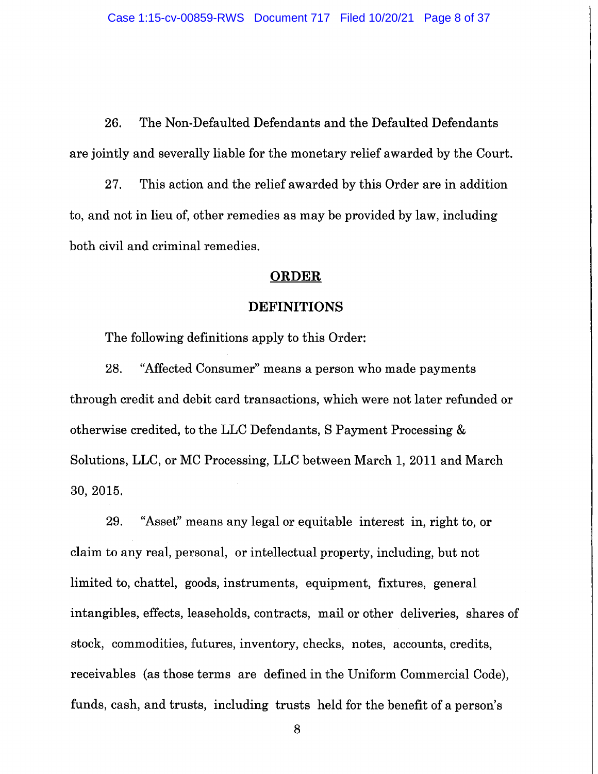26. The Non-Defaulted Defendants and the Defaulted Defendants are jointly and severally liable for the monetary relief awarded by the Court.

27. This action and the relief awarded by this Order are in addition to, and not in lieu of, other remedies as may be provided by law, including both civil and criminal remedies.

#### **ORDER**

## **DEFINITIONS**

The following definitions apply to this Order:

"Affected Consumer" means a person who made payments 28. through credit and debit card transactions, which were not later refunded or otherwise credited, to the LLC Defendants, S Payment Processing & Solutions, LLC, or MC Processing, LLC between March 1, 2011 and March 30, 2015.

"Asset" means any legal or equitable interest in, right to, or 29. claim to any real, personal, or intellectual property, including, but not limited to, chattel, goods, instruments, equipment, fixtures, general intangibles, effects, leaseholds, contracts, mail or other deliveries, shares of stock, commodities, futures, inventory, checks, notes, accounts, credits, receivables (as those terms are defined in the Uniform Commercial Code). funds, cash, and trusts, including trusts held for the benefit of a person's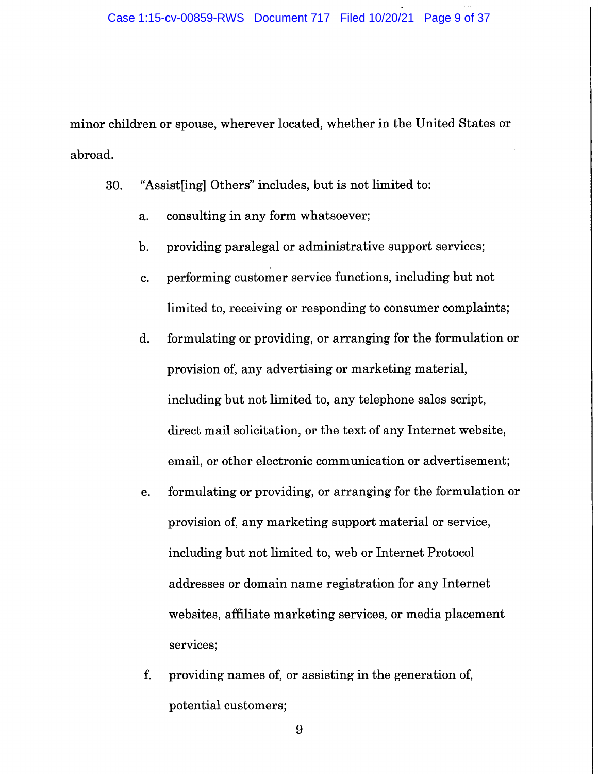minor children or spouse, wherever located, whether in the United States or abroad.

"Assistling Others" includes, but is not limited to: 30.

- consulting in any form whatsoever; a.
- providing paralegal or administrative support services;  $\mathbf{b}$ .
- performing customer service functions, including but not  $\mathbf{c}$ . limited to, receiving or responding to consumer complaints;
- d. formulating or providing, or arranging for the formulation or provision of, any advertising or marketing material, including but not limited to, any telephone sales script, direct mail solicitation, or the text of any Internet website, email, or other electronic communication or advertisement;
- formulating or providing, or arranging for the formulation or е. provision of, any marketing support material or service, including but not limited to, web or Internet Protocol addresses or domain name registration for any Internet websites, affiliate marketing services, or media placement services;
- f. providing names of, or assisting in the generation of, potential customers;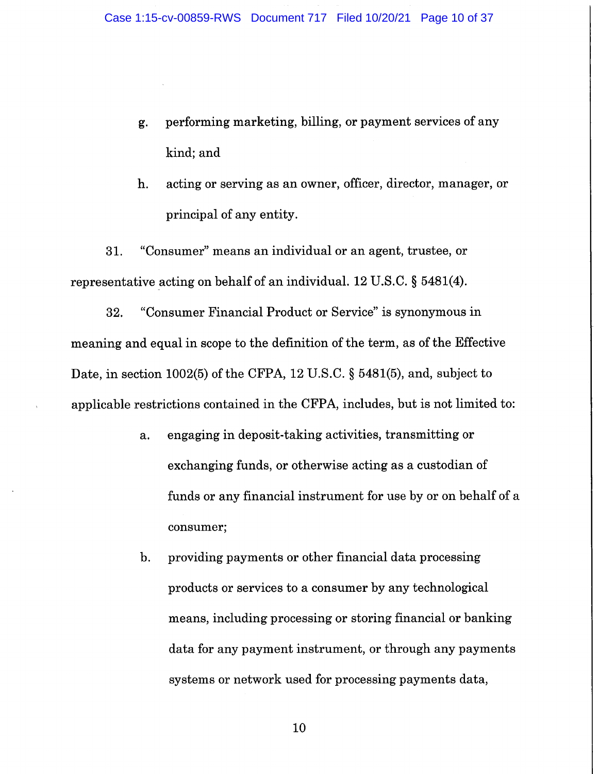- performing marketing, billing, or payment services of any g. kind; and
- acting or serving as an owner, officer, director, manager, or h. principal of any entity.

"Consumer" means an individual or an agent, trustee, or 31. representative acting on behalf of an individual. 12 U.S.C. § 5481(4).

"Consumer Financial Product or Service" is synonymous in 32. meaning and equal in scope to the definition of the term, as of the Effective Date, in section 1002(5) of the CFPA, 12 U.S.C. § 5481(5), and, subject to applicable restrictions contained in the CFPA, includes, but is not limited to:

- engaging in deposit-taking activities, transmitting or  $a.$ exchanging funds, or otherwise acting as a custodian of funds or any financial instrument for use by or on behalf of a consumer;
- providing payments or other financial data processing  $\mathbf{b}$ . products or services to a consumer by any technological means, including processing or storing financial or banking data for any payment instrument, or through any payments systems or network used for processing payments data,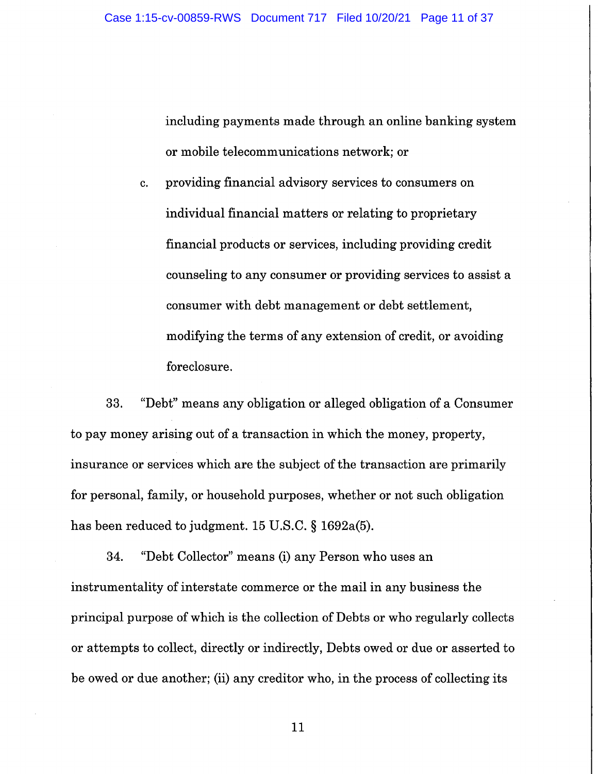including payments made through an online banking system or mobile telecommunications network; or

providing financial advisory services to consumers on c. individual financial matters or relating to proprietary financial products or services, including providing credit counseling to any consumer or providing services to assist a consumer with debt management or debt settlement, modifying the terms of any extension of credit, or avoiding foreclosure.

"Debt" means any obligation or alleged obligation of a Consumer 33. to pay money arising out of a transaction in which the money, property, insurance or services which are the subject of the transaction are primarily for personal, family, or household purposes, whether or not such obligation has been reduced to judgment. 15 U.S.C. § 1692a(5).

34. "Debt Collector" means (i) any Person who uses an instrumentality of interstate commerce or the mail in any business the principal purpose of which is the collection of Debts or who regularly collects or attempts to collect, directly or indirectly, Debts owed or due or asserted to be owed or due another; (ii) any creditor who, in the process of collecting its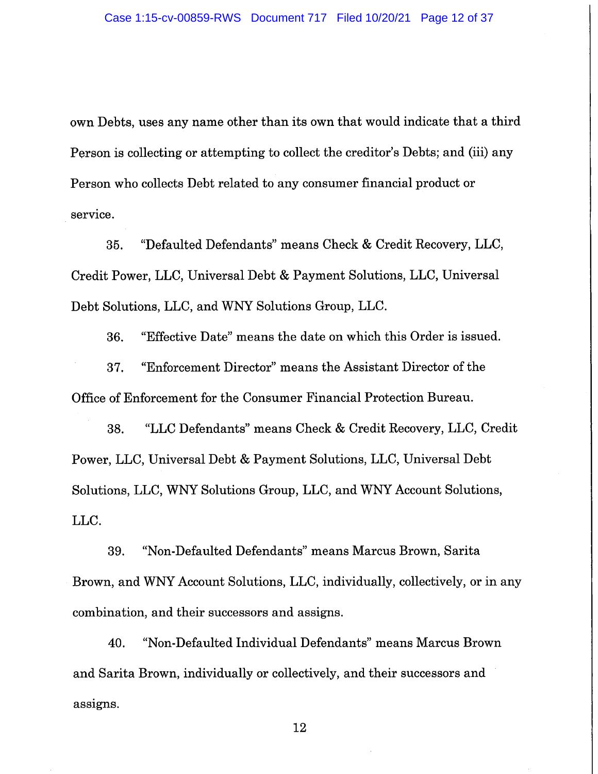own Debts, uses any name other than its own that would indicate that a third Person is collecting or attempting to collect the creditor's Debts; and (iii) any Person who collects Debt related to any consumer financial product or service.

"Defaulted Defendants" means Check & Credit Recovery, LLC, 35. Credit Power, LLC, Universal Debt & Payment Solutions, LLC, Universal Debt Solutions, LLC, and WNY Solutions Group, LLC.

"Effective Date" means the date on which this Order is issued. 36. "Enforcement Director" means the Assistant Director of the 37. Office of Enforcement for the Consumer Financial Protection Bureau.

"LLC Defendants" means Check & Credit Recovery, LLC, Credit 38. Power, LLC, Universal Debt & Payment Solutions, LLC, Universal Debt Solutions, LLC, WNY Solutions Group, LLC, and WNY Account Solutions, LLC.

39. "Non-Defaulted Defendants" means Marcus Brown, Sarita Brown, and WNY Account Solutions, LLC, individually, collectively, or in any combination, and their successors and assigns.

40. "Non-Defaulted Individual Defendants" means Marcus Brown and Sarita Brown, individually or collectively, and their successors and assigns.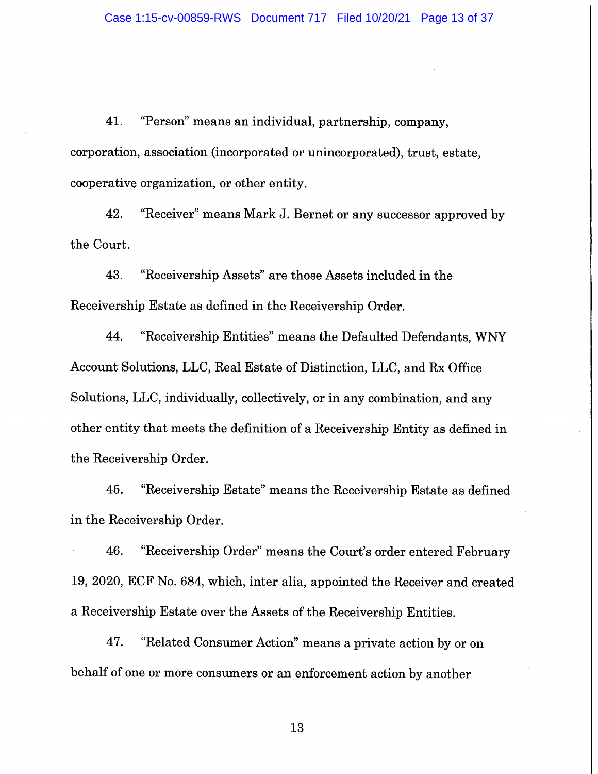"Person" means an individual, partnership, company, 41. corporation, association (incorporated or unincorporated), trust, estate, cooperative organization, or other entity.

"Receiver" means Mark J. Bernet or any successor approved by 42. the Court.

"Receivership Assets" are those Assets included in the 43. Receivership Estate as defined in the Receivership Order.

44. "Receivership Entities" means the Defaulted Defendants, WNY Account Solutions, LLC, Real Estate of Distinction, LLC, and Rx Office Solutions, LLC, individually, collectively, or in any combination, and any other entity that meets the definition of a Receivership Entity as defined in the Receivership Order.

"Receivership Estate" means the Receivership Estate as defined 45. in the Receivership Order.

"Receivership Order" means the Court's order entered February 46. 19, 2020, ECF No. 684, which, inter alia, appointed the Receiver and created a Receivership Estate over the Assets of the Receivership Entities.

47. "Related Consumer Action" means a private action by or on behalf of one or more consumers or an enforcement action by another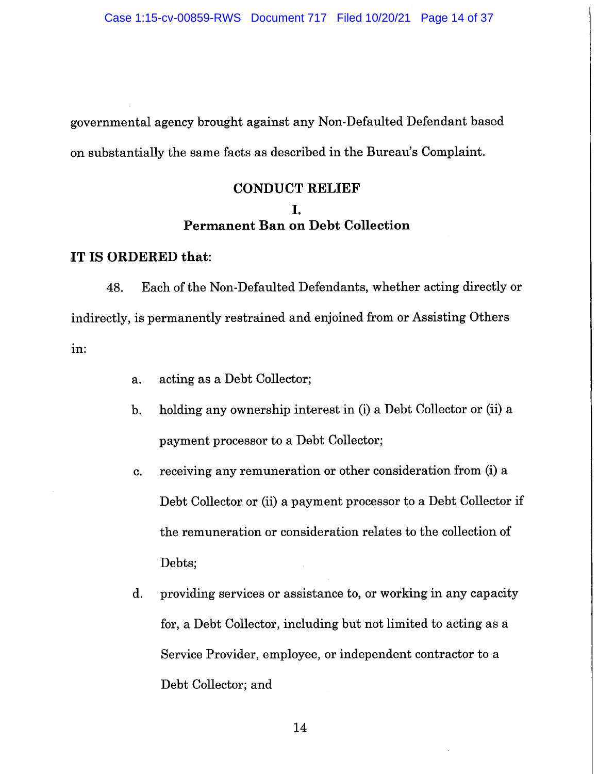governmental agency brought against any Non-Defaulted Defendant based on substantially the same facts as described in the Bureau's Complaint.

# **CONDUCT RELIEF** I. **Permanent Ban on Debt Collection**

### IT IS ORDERED that:

Each of the Non-Defaulted Defendants, whether acting directly or 48. indirectly, is permanently restrained and enjoined from or Assisting Others in:

- acting as a Debt Collector; a.
- holding any ownership interest in (i) a Debt Collector or (ii) a  $\mathbf{b}$ . payment processor to a Debt Collector;
- receiving any remuneration or other consideration from (i) a c. Debt Collector or (ii) a payment processor to a Debt Collector if the remuneration or consideration relates to the collection of Debts;
- providing services or assistance to, or working in any capacity  $\mathbf{d}$ . for, a Debt Collector, including but not limited to acting as a Service Provider, employee, or independent contractor to a Debt Collector; and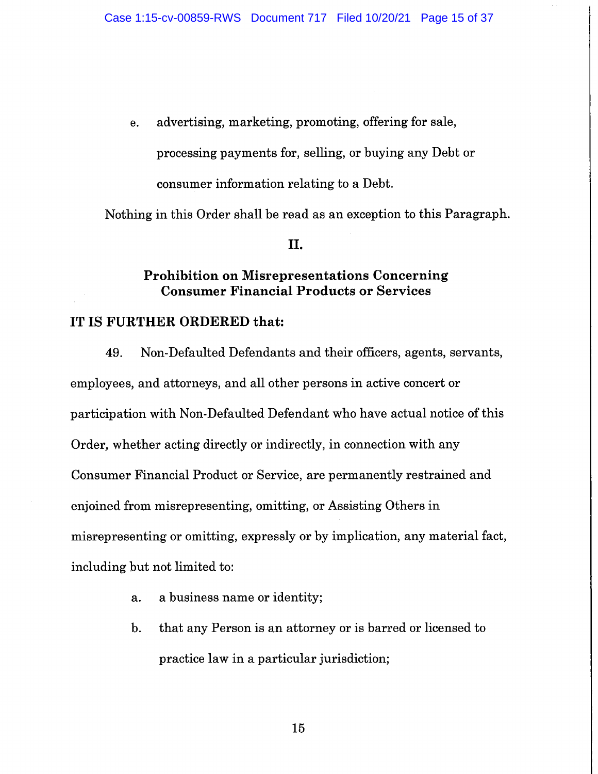advertising, marketing, promoting, offering for sale, e. processing payments for, selling, or buying any Debt or consumer information relating to a Debt.

Nothing in this Order shall be read as an exception to this Paragraph.

## II.

# **Prohibition on Misrepresentations Concerning Consumer Financial Products or Services**

## IT IS FURTHER ORDERED that:

Non-Defaulted Defendants and their officers, agents, servants, 49. employees, and attorneys, and all other persons in active concert or participation with Non-Defaulted Defendant who have actual notice of this Order, whether acting directly or indirectly, in connection with any Consumer Financial Product or Service, are permanently restrained and enjoined from misrepresenting, omitting, or Assisting Others in misrepresenting or omitting, expressly or by implication, any material fact, including but not limited to:

- a business name or identity;  $a.$
- that any Person is an attorney or is barred or licensed to  $\mathbf{b}$ . practice law in a particular jurisdiction;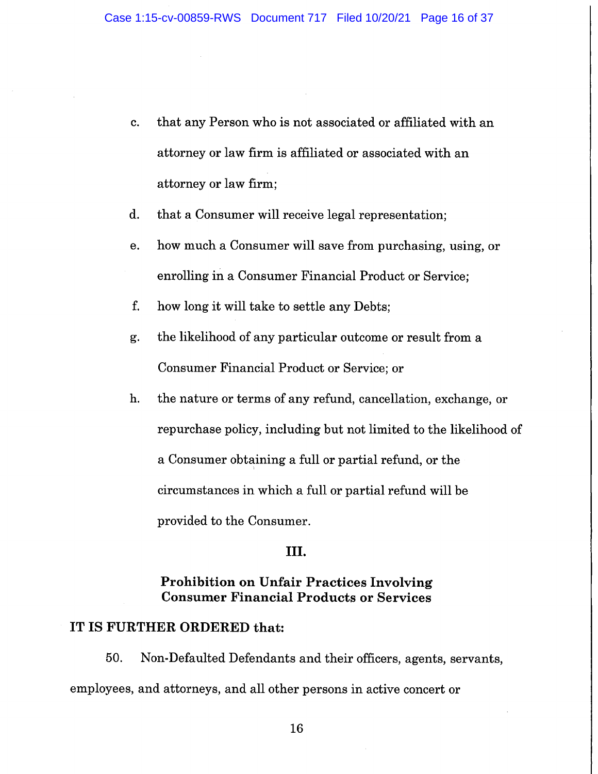- that any Person who is not associated or affiliated with an c. attorney or law firm is affiliated or associated with an attorney or law firm;
- $\mathbf{d}$ . that a Consumer will receive legal representation;
- how much a Consumer will save from purchasing, using, or e. enrolling in a Consumer Financial Product or Service;
- f. how long it will take to settle any Debts;
- the likelihood of any particular outcome or result from a g. Consumer Financial Product or Service; or
- h. the nature or terms of any refund, cancellation, exchange, or repurchase policy, including but not limited to the likelihood of a Consumer obtaining a full or partial refund, or the circumstances in which a full or partial refund will be provided to the Consumer.

## III.

## **Prohibition on Unfair Practices Involving Consumer Financial Products or Services**

## IT IS FURTHER ORDERED that:

50. Non-Defaulted Defendants and their officers, agents, servants, employees, and attorneys, and all other persons in active concert or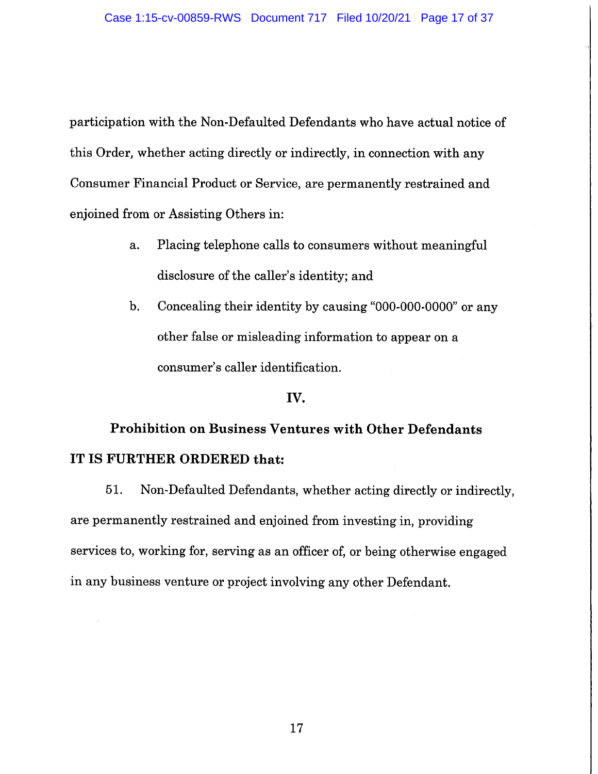participation with the Non-Defaulted Defendants who have actual notice of this Order, whether acting directly or indirectly, in connection with any Consumer Financial Product or Service, are permanently restrained and enjoined from or Assisting Others in:

- Placing telephone calls to consumers without meaningful a. disclosure of the caller's identity; and
- **,** Concealing their identity by causing "000-000-0000" or any other false or misleading information to appear on a consumer's caller identification.

### IV.

# **Prohibition on Business Ventures with Other Defendants** IT IS FURTHER ORDERED that:

Non-Defaulted Defendants, whether acting directly or indirectly, 51. are permanently restrained and enjoined from investing in, providing services to, working for, serving as an officer of, or being otherwise engaged in any business venture or project involving any other Defendant.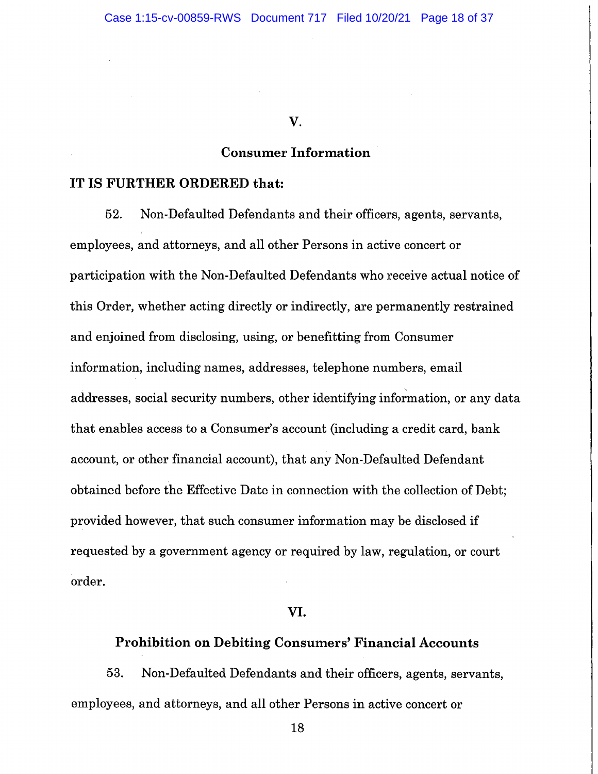#### V.

## **Consumer Information**

## IT IS FURTHER ORDERED that:

52. Non-Defaulted Defendants and their officers, agents, servants, employees, and attorneys, and all other Persons in active concert or participation with the Non-Defaulted Defendants who receive actual notice of this Order, whether acting directly or indirectly, are permanently restrained and enjoined from disclosing, using, or benefitting from Consumer information, including names, addresses, telephone numbers, email addresses, social security numbers, other identifying information, or any data that enables access to a Consumer's account (including a credit card, bank account, or other financial account), that any Non-Defaulted Defendant obtained before the Effective Date in connection with the collection of Debt: provided however, that such consumer information may be disclosed if requested by a government agency or required by law, regulation, or court order.

### VI.

# **Prohibition on Debiting Consumers' Financial Accounts**

53. Non-Defaulted Defendants and their officers, agents, servants, employees, and attorneys, and all other Persons in active concert or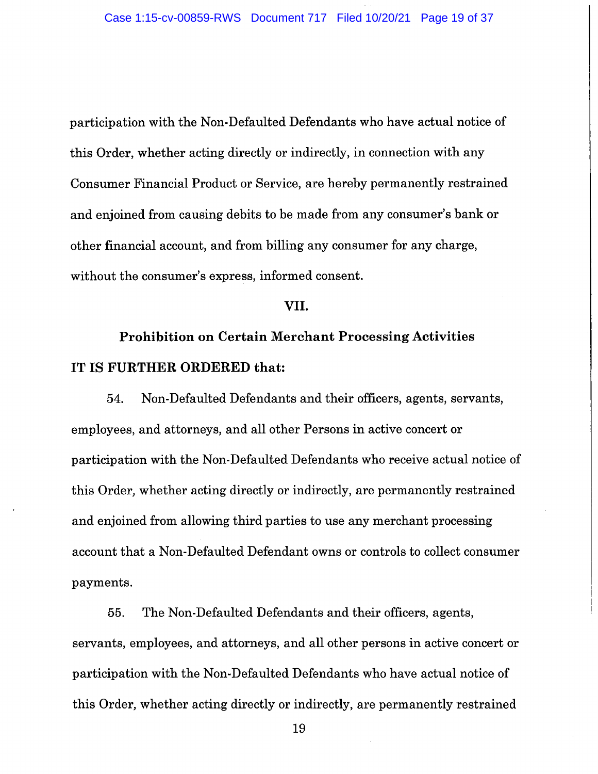participation with the Non-Defaulted Defendants who have actual notice of this Order, whether acting directly or indirectly, in connection with any Consumer Financial Product or Service, are hereby permanently restrained and enjoined from causing debits to be made from any consumer's bank or other financial account, and from billing any consumer for any charge, without the consumer's express, informed consent.

### VII.

# **Prohibition on Certain Merchant Processing Activities** IT IS FURTHER ORDERED that:

Non-Defaulted Defendants and their officers, agents, servants, 54. employees, and attorneys, and all other Persons in active concert or participation with the Non-Defaulted Defendants who receive actual notice of this Order, whether acting directly or indirectly, are permanently restrained and enjoined from allowing third parties to use any merchant processing account that a Non-Defaulted Defendant owns or controls to collect consumer payments.

55. The Non-Defaulted Defendants and their officers, agents, servants, employees, and attorneys, and all other persons in active concert or participation with the Non-Defaulted Defendants who have actual notice of this Order, whether acting directly or indirectly, are permanently restrained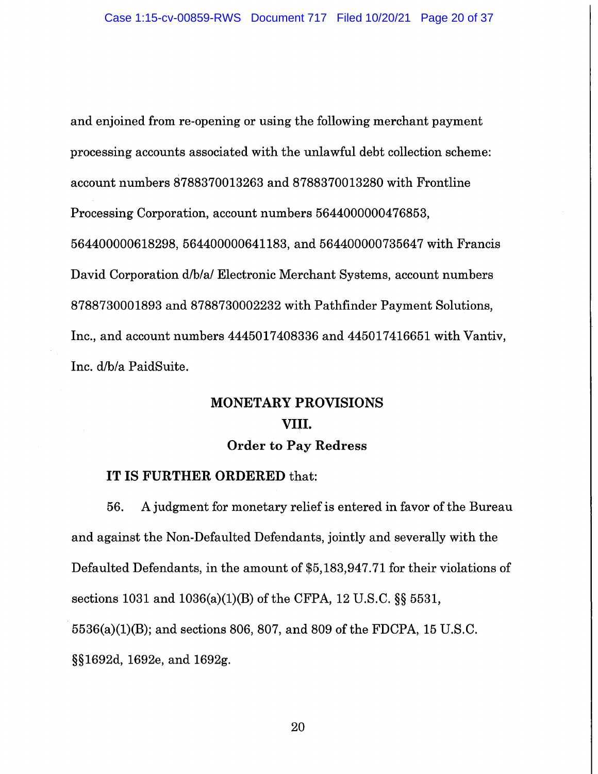and enjoined from re-opening or using the following merchant payment processing accounts associated with the unlawful debt collection scheme: account numbers 8788370013263 and 8788370013280 with Frontline Processing Corporation, account numbers 5644000000476853, 564400000618298, 564400000641183, and 564400000735647 with Francis David Corporation d/b/a/ Electronic Merchant Systems, account numbers 8788730001893 and 8788730002232 with Pathfinder Payment Solutions, Inc., and account numbers 4445017408336 and 445017416651 with Vantiv, Inc. d/b/a PaidSuite.

# **MONETARY PROVISIONS** VIII. **Order to Pay Redress**

## IT IS FURTHER ORDERED that:

56. A judgment for monetary relief is entered in favor of the Bureau and against the Non-Defaulted Defendants, jointly and severally with the Defaulted Defendants, in the amount of \$5,183,947.71 for their violations of sections 1031 and 1036(a)(1)(B) of the CFPA, 12 U.S.C.  $\S$  5531,  $5536(a)(1)(B)$ ; and sections 806, 807, and 809 of the FDCPA, 15 U.S.C. §§1692d, 1692e, and 1692g.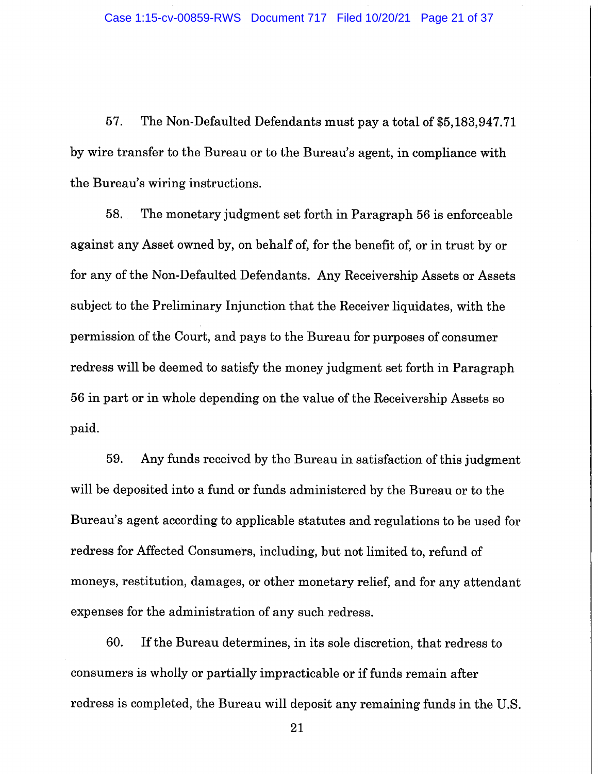57. The Non-Defaulted Defendants must pay a total of \$5,183,947.71 by wire transfer to the Bureau or to the Bureau's agent, in compliance with the Bureau's wiring instructions.

58. The monetary judgment set forth in Paragraph 56 is enforceable against any Asset owned by, on behalf of, for the benefit of, or in trust by or for any of the Non-Defaulted Defendants. Any Receivership Assets or Assets subject to the Preliminary Injunction that the Receiver liquidates, with the permission of the Court, and pays to the Bureau for purposes of consumer redress will be deemed to satisfy the money judgment set forth in Paragraph 56 in part or in whole depending on the value of the Receivership Assets so paid.

59. Any funds received by the Bureau in satisfaction of this judgment will be deposited into a fund or funds administered by the Bureau or to the Bureau's agent according to applicable statutes and regulations to be used for redress for Affected Consumers, including, but not limited to, refund of moneys, restitution, damages, or other monetary relief, and for any attendant expenses for the administration of any such redress.

60. If the Bureau determines, in its sole discretion, that redress to consumers is wholly or partially impracticable or if funds remain after redress is completed, the Bureau will deposit any remaining funds in the U.S.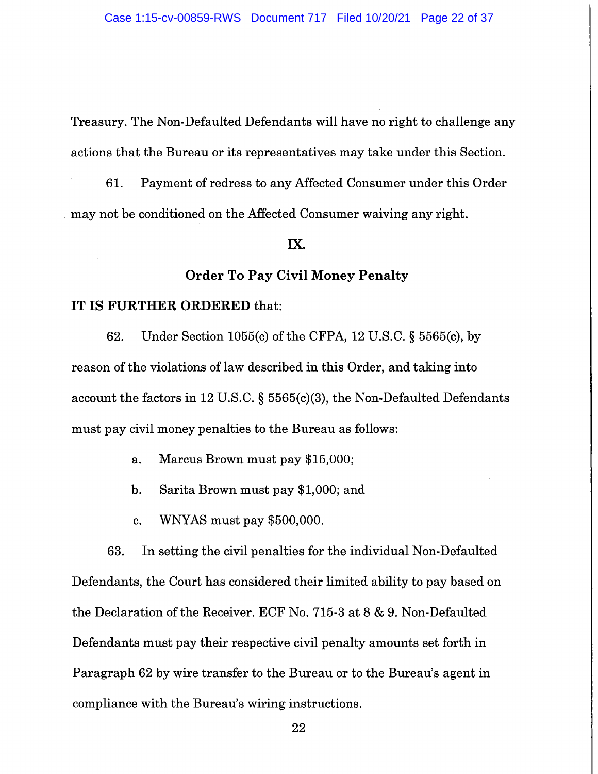Treasury. The Non-Defaulted Defendants will have no right to challenge any actions that the Bureau or its representatives may take under this Section.

61. Payment of redress to any Affected Consumer under this Order may not be conditioned on the Affected Consumer waiving any right.

### IX.

## **Order To Pay Civil Money Penalty**

#### IT IS FURTHER ORDERED that:

62. Under Section 1055(c) of the CFPA, 12 U.S.C.  $\S$  5565(c), by reason of the violations of law described in this Order, and taking into account the factors in 12 U.S.C.  $\S$  5565(c)(3), the Non-Defaulted Defendants must pay civil money penalties to the Bureau as follows:

> Marcus Brown must pay \$15,000;  $a<sub>z</sub>$

- $\mathbf{b}$ . Sarita Brown must pay \$1,000; and
- WNYAS must pay \$500,000. c.

63. In setting the civil penalties for the individual Non-Defaulted Defendants, the Court has considered their limited ability to pay based on the Declaration of the Receiver. ECF No. 715-3 at 8 & 9. Non-Defaulted Defendants must pay their respective civil penalty amounts set forth in Paragraph 62 by wire transfer to the Bureau or to the Bureau's agent in compliance with the Bureau's wiring instructions.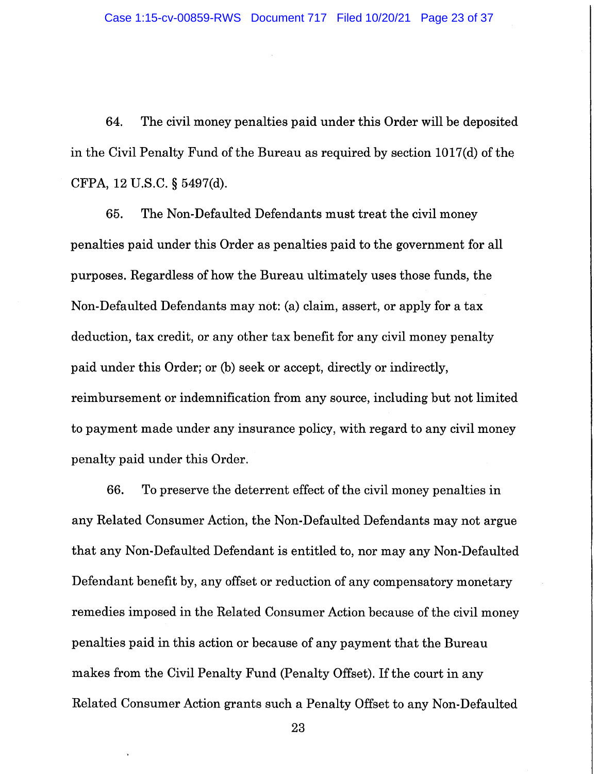64. The civil money penalties paid under this Order will be deposited in the Civil Penalty Fund of the Bureau as required by section 1017(d) of the CFPA, 12 U.S.C. § 5497(d).

65. The Non-Defaulted Defendants must treat the civil money penalties paid under this Order as penalties paid to the government for all purposes. Regardless of how the Bureau ultimately uses those funds, the Non-Defaulted Defendants may not: (a) claim, assert, or apply for a tax deduction, tax credit, or any other tax benefit for any civil money penalty paid under this Order; or (b) seek or accept, directly or indirectly, reimbursement or indemnification from any source, including but not limited to payment made under any insurance policy, with regard to any civil money penalty paid under this Order.

To preserve the deterrent effect of the civil money penalties in 66. any Related Consumer Action, the Non-Defaulted Defendants may not argue that any Non-Defaulted Defendant is entitled to, nor may any Non-Defaulted Defendant benefit by, any offset or reduction of any compensatory monetary remedies imposed in the Related Consumer Action because of the civil money penalties paid in this action or because of any payment that the Bureau makes from the Civil Penalty Fund (Penalty Offset). If the court in any Related Consumer Action grants such a Penalty Offset to any Non-Defaulted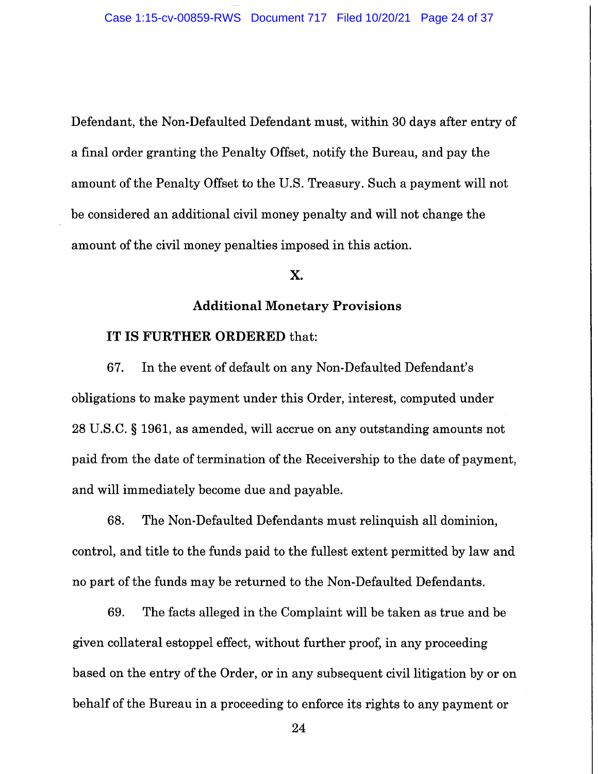Defendant, the Non-Defaulted Defendant must, within 30 days after entry of a final order granting the Penalty Offset, notify the Bureau, and pay the amount of the Penalty Offset to the U.S. Treasury. Such a payment will not be considered an additional civil money penalty and will not change the amount of the civil money penalties imposed in this action.

## X.

### **Additional Monetary Provisions**

#### IT IS FURTHER ORDERED that:

67. In the event of default on any Non-Defaulted Defendant's obligations to make payment under this Order, interest, computed under 28 U.S.C. § 1961, as amended, will accrue on any outstanding amounts not paid from the date of termination of the Receivership to the date of payment, and will immediately become due and payable.

68. The Non-Defaulted Defendants must relinquish all dominion, control, and title to the funds paid to the fullest extent permitted by law and no part of the funds may be returned to the Non-Defaulted Defendants.

69. The facts alleged in the Complaint will be taken as true and be given collateral estoppel effect, without further proof, in any proceeding based on the entry of the Order, or in any subsequent civil litigation by or on behalf of the Bureau in a proceeding to enforce its rights to any payment or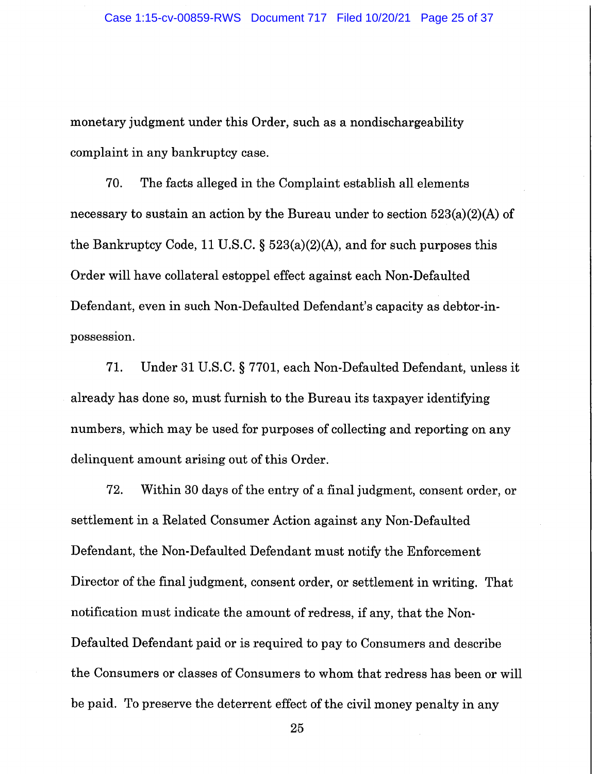monetary judgment under this Order, such as a nondischargeability complaint in any bankruptcy case.

70. The facts alleged in the Complaint establish all elements necessary to sustain an action by the Bureau under to section  $523(a)(2)(A)$  of the Bankruptcy Code, 11 U.S.C.  $\S$  523(a)(2)(A), and for such purposes this Order will have collateral estoppel effect against each Non-Defaulted Defendant, even in such Non-Defaulted Defendant's capacity as debtor-inpossession.

71. Under 31 U.S.C. § 7701, each Non-Defaulted Defendant, unless it already has done so, must furnish to the Bureau its taxpayer identifying numbers, which may be used for purposes of collecting and reporting on any delinquent amount arising out of this Order.

72. Within 30 days of the entry of a final judgment, consent order, or settlement in a Related Consumer Action against any Non-Defaulted Defendant, the Non-Defaulted Defendant must notify the Enforcement Director of the final judgment, consent order, or settlement in writing. That notification must indicate the amount of redress, if any, that the Non-Defaulted Defendant paid or is required to pay to Consumers and describe the Consumers or classes of Consumers to whom that redress has been or will be paid. To preserve the deterrent effect of the civil money penalty in any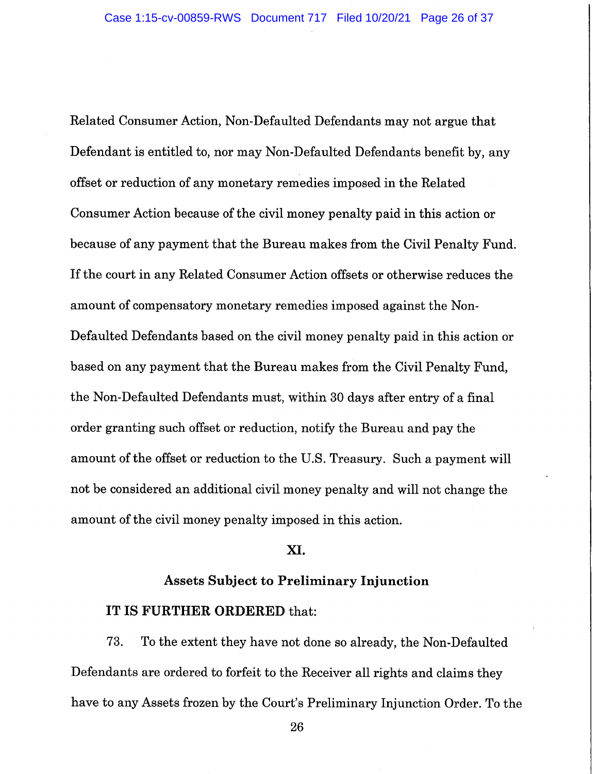Related Consumer Action, Non-Defaulted Defendants may not argue that Defendant is entitled to, nor may Non-Defaulted Defendants benefit by, any offset or reduction of any monetary remedies imposed in the Related Consumer Action because of the civil money penalty paid in this action or because of any payment that the Bureau makes from the Civil Penalty Fund. If the court in any Related Consumer Action offsets or otherwise reduces the amount of compensatory monetary remedies imposed against the Non-Defaulted Defendants based on the civil money penalty paid in this action or based on any payment that the Bureau makes from the Civil Penalty Fund, the Non-Defaulted Defendants must, within 30 days after entry of a final order granting such offset or reduction, notify the Bureau and pay the amount of the offset or reduction to the U.S. Treasury. Such a payment will not be considered an additional civil money penalty and will not change the amount of the civil money penalty imposed in this action.

## XI.

## **Assets Subject to Preliminary Injunction**

## IT IS FURTHER ORDERED that:

73. To the extent they have not done so already, the Non-Defaulted Defendants are ordered to forfeit to the Receiver all rights and claims they have to any Assets frozen by the Court's Preliminary Injunction Order. To the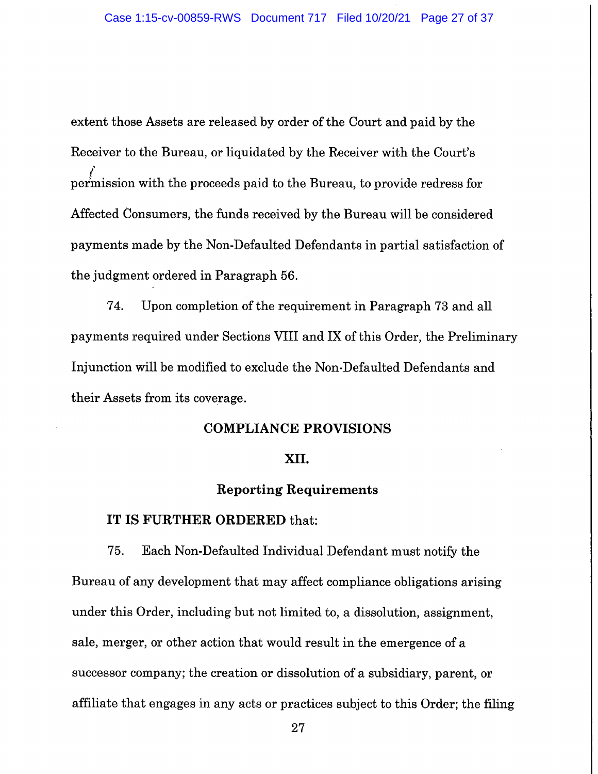extent those Assets are released by order of the Court and paid by the Receiver to the Bureau, or liquidated by the Receiver with the Court's permission with the proceeds paid to the Bureau, to provide redress for Affected Consumers, the funds received by the Bureau will be considered payments made by the Non-Defaulted Defendants in partial satisfaction of the judgment ordered in Paragraph 56.

74. Upon completion of the requirement in Paragraph 73 and all payments required under Sections VIII and IX of this Order, the Preliminary Injunction will be modified to exclude the Non-Defaulted Defendants and their Assets from its coverage.

## **COMPLIANCE PROVISIONS**

### XII.

#### **Reporting Requirements**

#### IT IS FURTHER ORDERED that:

75. Each Non-Defaulted Individual Defendant must notify the Bureau of any development that may affect compliance obligations arising under this Order, including but not limited to, a dissolution, assignment, sale, merger, or other action that would result in the emergence of a successor company; the creation or dissolution of a subsidiary, parent, or affiliate that engages in any acts or practices subject to this Order; the filing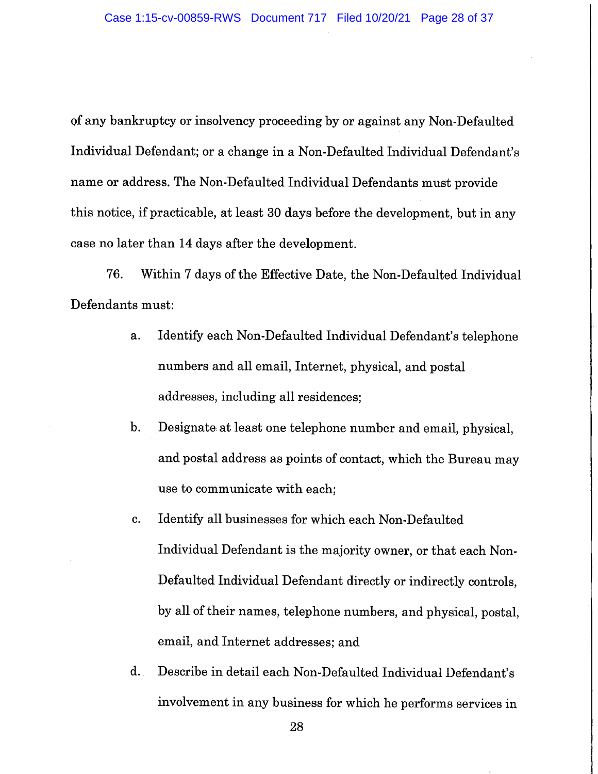of any bankruptcy or insolvency proceeding by or against any Non-Defaulted Individual Defendant; or a change in a Non-Defaulted Individual Defendant's name or address. The Non-Defaulted Individual Defendants must provide this notice, if practicable, at least 30 days before the development, but in any case no later than 14 days after the development.

76. Within 7 days of the Effective Date, the Non-Defaulted Individual Defendants must:

- Identify each Non-Defaulted Individual Defendant's telephone  $a<sub>1</sub>$ numbers and all email, Internet, physical, and postal addresses, including all residences;
- Designate at least one telephone number and email, physical,  $\mathbf{b}$ . and postal address as points of contact, which the Bureau may use to communicate with each;
- Identify all businesses for which each Non-Defaulted c. Individual Defendant is the majority owner, or that each Non-Defaulted Individual Defendant directly or indirectly controls, by all of their names, telephone numbers, and physical, postal, email, and Internet addresses; and
- d. Describe in detail each Non-Defaulted Individual Defendant's involvement in any business for which he performs services in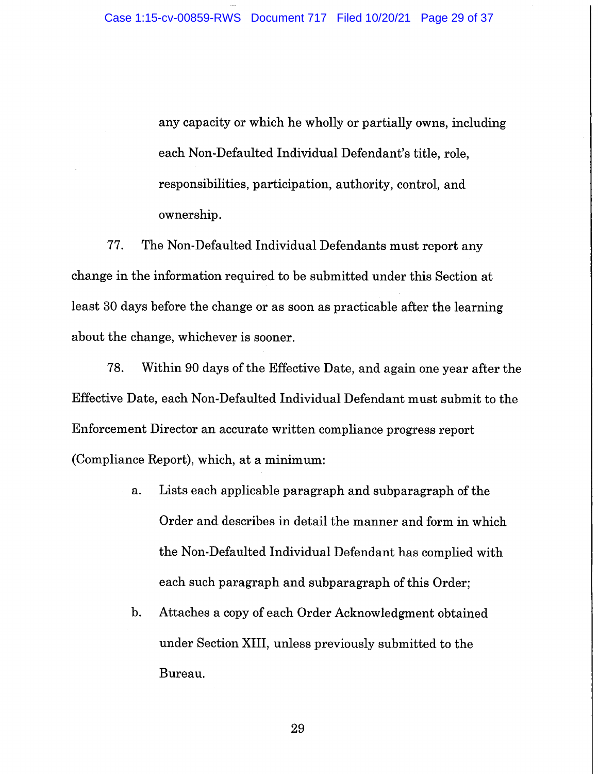any capacity or which he wholly or partially owns, including each Non-Defaulted Individual Defendant's title, role, responsibilities, participation, authority, control, and ownership.

77. The Non-Defaulted Individual Defendants must report any change in the information required to be submitted under this Section at least 30 days before the change or as soon as practicable after the learning about the change, whichever is sooner.

78. Within 90 days of the Effective Date, and again one year after the Effective Date, each Non-Defaulted Individual Defendant must submit to the Enforcement Director an accurate written compliance progress report (Compliance Report), which, at a minimum:

- Lists each applicable paragraph and subparagraph of the a. Order and describes in detail the manner and form in which the Non-Defaulted Individual Defendant has complied with each such paragraph and subparagraph of this Order;
- $\mathbf{b}$ . Attaches a copy of each Order Acknowledgment obtained under Section XIII, unless previously submitted to the Bureau.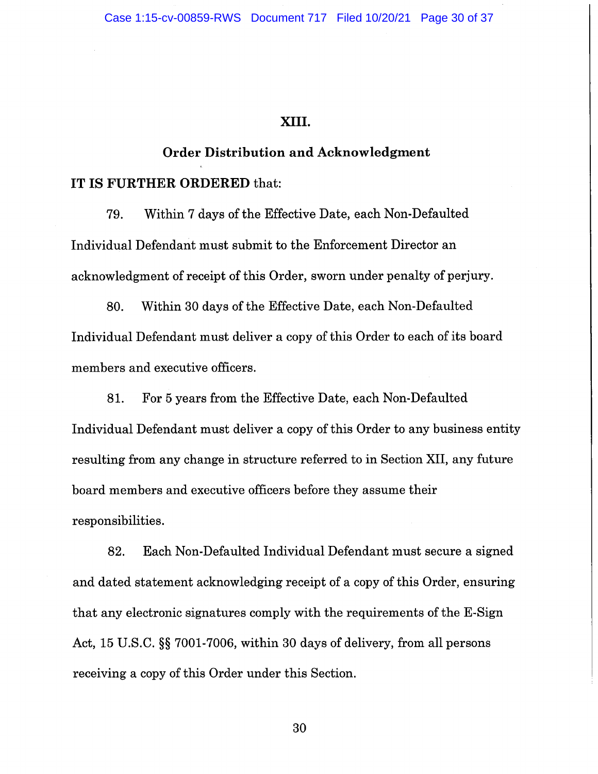### XIII.

# **Order Distribution and Acknowledgment**

## IT IS FURTHER ORDERED that:

79. Within 7 days of the Effective Date, each Non-Defaulted Individual Defendant must submit to the Enforcement Director an acknowledgment of receipt of this Order, sworn under penalty of perjury.

80. Within 30 days of the Effective Date, each Non-Defaulted Individual Defendant must deliver a copy of this Order to each of its board members and executive officers.

For 5 years from the Effective Date, each Non-Defaulted 81. Individual Defendant must deliver a copy of this Order to any business entity resulting from any change in structure referred to in Section XII, any future board members and executive officers before they assume their responsibilities.

82. Each Non-Defaulted Individual Defendant must secure a signed and dated statement acknowledging receipt of a copy of this Order, ensuring that any electronic signatures comply with the requirements of the E-Sign Act, 15 U.S.C. §§ 7001-7006, within 30 days of delivery, from all persons receiving a copy of this Order under this Section.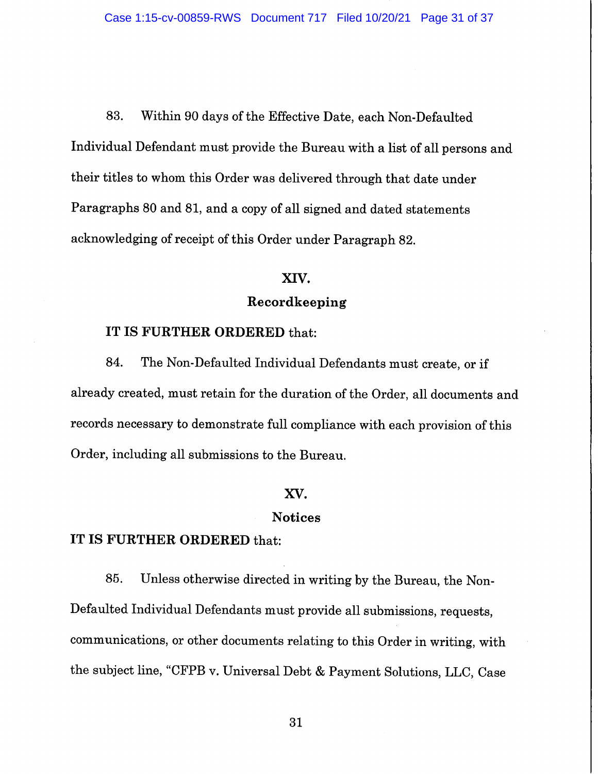Within 90 days of the Effective Date, each Non-Defaulted 83. Individual Defendant must provide the Bureau with a list of all persons and their titles to whom this Order was delivered through that date under Paragraphs 80 and 81, and a copy of all signed and dated statements acknowledging of receipt of this Order under Paragraph 82.

#### XIV.

## Recordkeeping

## IT IS FURTHER ORDERED that:

The Non-Defaulted Individual Defendants must create, or if 84. already created, must retain for the duration of the Order, all documents and records necessary to demonstrate full compliance with each provision of this Order, including all submissions to the Bureau.

### XV.

### **Notices**

# IT IS FURTHER ORDERED that:

Unless otherwise directed in writing by the Bureau, the Non-85. Defaulted Individual Defendants must provide all submissions, requests, communications, or other documents relating to this Order in writing, with the subject line, "CFPB v. Universal Debt & Payment Solutions, LLC, Case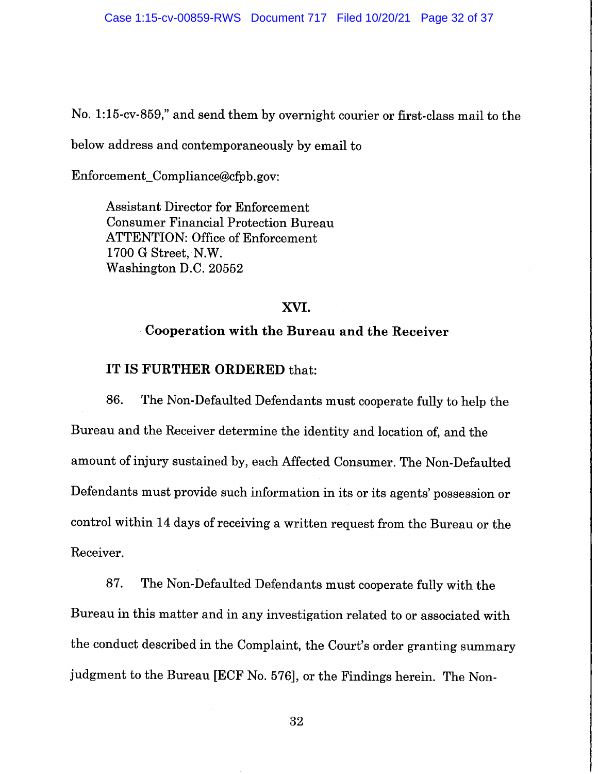No. 1:15-cv-859," and send them by overnight courier or first-class mail to the

below address and contemporaneously by email to

Enforcement\_Compliance@cfpb.gov:

**Assistant Director for Enforcement Consumer Financial Protection Bureau ATTENTION: Office of Enforcement** 1700 G Street, N.W. Washington D.C. 20552

## XVI.

## Cooperation with the Bureau and the Receiver

## IT IS FURTHER ORDERED that:

86. The Non-Defaulted Defendants must cooperate fully to help the Bureau and the Receiver determine the identity and location of, and the amount of injury sustained by, each Affected Consumer. The Non-Defaulted Defendants must provide such information in its or its agents' possession or control within 14 days of receiving a written request from the Bureau or the Receiver.

87. The Non-Defaulted Defendants must cooperate fully with the Bureau in this matter and in any investigation related to or associated with the conduct described in the Complaint, the Court's order granting summary judgment to the Bureau [ECF No. 576], or the Findings herein. The Non-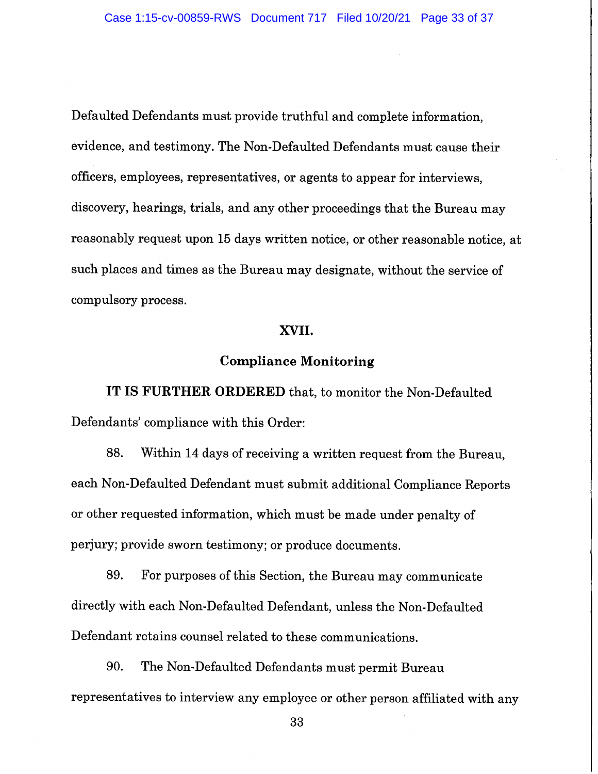Defaulted Defendants must provide truthful and complete information, evidence, and testimony. The Non-Defaulted Defendants must cause their officers, employees, representatives, or agents to appear for interviews, discovery, hearings, trials, and any other proceedings that the Bureau may reasonably request upon 15 days written notice, or other reasonable notice, at such places and times as the Bureau may designate, without the service of compulsory process.

## XVII.

## **Compliance Monitoring**

IT IS FURTHER ORDERED that, to monitor the Non-Defaulted Defendants' compliance with this Order:

Within 14 days of receiving a written request from the Bureau, 88. each Non-Defaulted Defendant must submit additional Compliance Reports or other requested information, which must be made under penalty of perjury; provide sworn testimony; or produce documents.

89. For purposes of this Section, the Bureau may communicate directly with each Non-Defaulted Defendant, unless the Non-Defaulted Defendant retains counsel related to these communications.

90. The Non-Defaulted Defendants must permit Bureau representatives to interview any employee or other person affiliated with any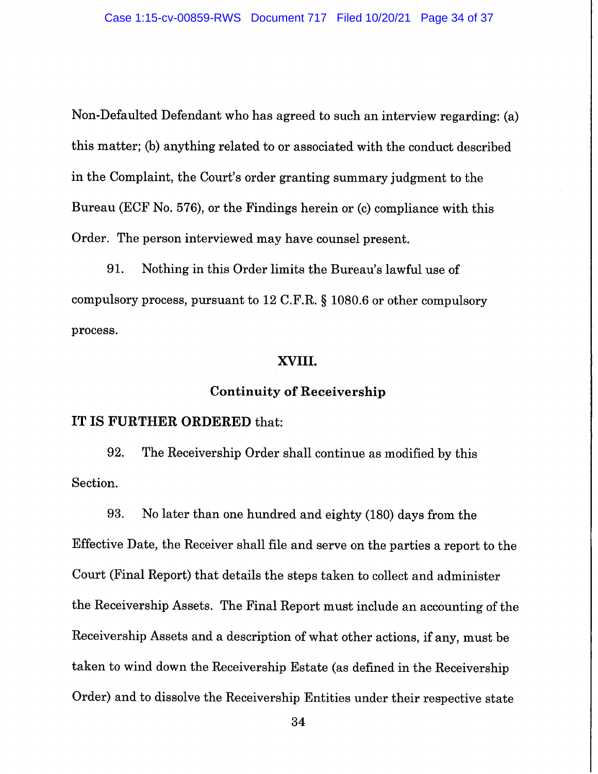Non-Defaulted Defendant who has agreed to such an interview regarding: (a) this matter; (b) anything related to or associated with the conduct described in the Complaint, the Court's order granting summary judgment to the Bureau (ECF No. 576), or the Findings herein or (c) compliance with this Order. The person interviewed may have counsel present.

91. Nothing in this Order limits the Bureau's lawful use of compulsory process, pursuant to 12 C.F.R. § 1080.6 or other compulsory process.

## XVIII.

## **Continuity of Receivership**

#### IT IS FURTHER ORDERED that:

92. The Receivership Order shall continue as modified by this Section.

93. No later than one hundred and eighty (180) days from the Effective Date, the Receiver shall file and serve on the parties a report to the Court (Final Report) that details the steps taken to collect and administer the Receivership Assets. The Final Report must include an accounting of the Receivership Assets and a description of what other actions, if any, must be taken to wind down the Receivership Estate (as defined in the Receivership Order) and to dissolve the Receivership Entities under their respective state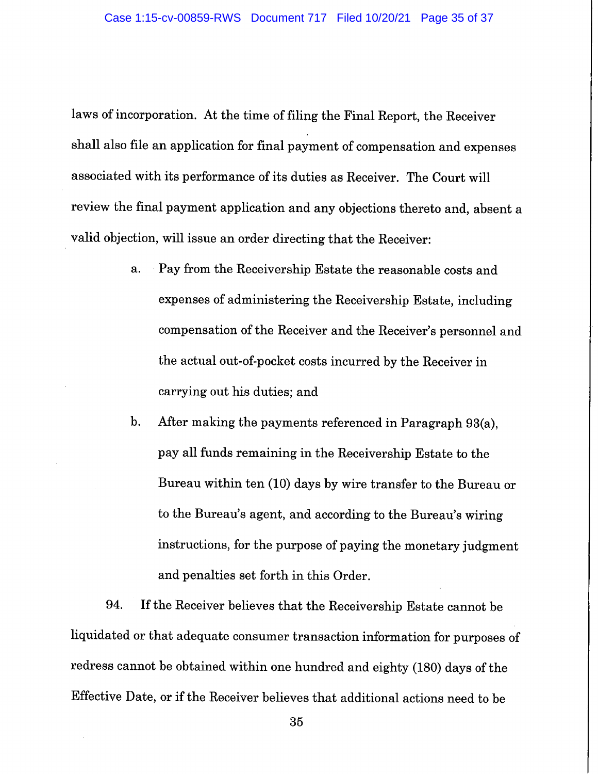laws of incorporation. At the time of filing the Final Report, the Receiver shall also file an application for final payment of compensation and expenses associated with its performance of its duties as Receiver. The Court will review the final payment application and any objections thereto and, absent a valid objection, will issue an order directing that the Receiver:

- Pay from the Receivership Estate the reasonable costs and a. expenses of administering the Receivership Estate, including compensation of the Receiver and the Receiver's personnel and the actual out-of-pocket costs incurred by the Receiver in carrying out his duties; and
- After making the payments referenced in Paragraph 93(a),  $\mathbf{b}$ . pay all funds remaining in the Receivership Estate to the Bureau within ten (10) days by wire transfer to the Bureau or to the Bureau's agent, and according to the Bureau's wiring instructions, for the purpose of paying the monetary judgment and penalties set forth in this Order.

If the Receiver believes that the Receivership Estate cannot be 94. liquidated or that adequate consumer transaction information for purposes of redress cannot be obtained within one hundred and eighty (180) days of the Effective Date, or if the Receiver believes that additional actions need to be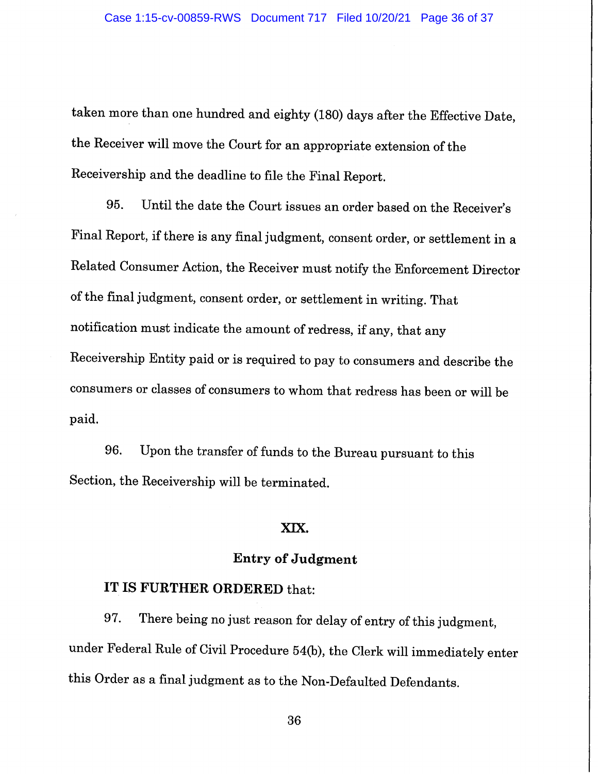taken more than one hundred and eighty (180) days after the Effective Date, the Receiver will move the Court for an appropriate extension of the Receivership and the deadline to file the Final Report.

95. Until the date the Court issues an order based on the Receiver's Final Report, if there is any final judgment, consent order, or settlement in a Related Consumer Action, the Receiver must notify the Enforcement Director of the final judgment, consent order, or settlement in writing. That notification must indicate the amount of redress, if any, that any Receivership Entity paid or is required to pay to consumers and describe the consumers or classes of consumers to whom that redress has been or will be paid.

Upon the transfer of funds to the Bureau pursuant to this 96. Section, the Receivership will be terminated.

### XIX.

## **Entry of Judgment**

## IT IS FURTHER ORDERED that:

There being no just reason for delay of entry of this judgment, 97. under Federal Rule of Civil Procedure 54(b), the Clerk will immediately enter this Order as a final judgment as to the Non-Defaulted Defendants.